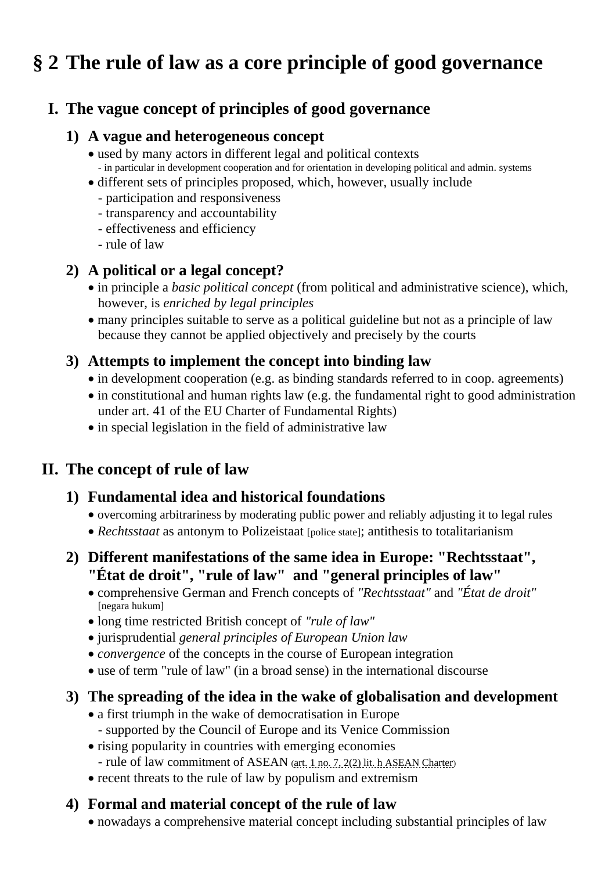# **§ 2 The rule of law as a core principle of good governance**

## **I. The vague concept of principles of good governance**

#### **1) A vague and heterogeneous concept**

- used by many actors in different legal and political contexts - in particular in development cooperation and for orientation in developing political and admin. systems
- different sets of principles proposed, which, however, usually include
	- participation and responsiveness
	- transparency and accountability
	- effectiveness and efficiency
	- rule of law

#### **2) A political or a legal concept?**

- in principle a *basic political concept* (from political and administrative science), which, however, is *enriched by legal principles*
- many principles suitable to serve as a political guideline but not as a principle of law because they cannot be applied objectively and precisely by the courts

#### **3) Attempts to implement the concept into binding law**

- in development cooperation (e.g. as binding standards referred to in coop. agreements)
- in constitutional and human rights law (e.g. the fundamental right to good administration under art. 41 of the EU Charter of Fundamental Rights)
- in special legislation in the field of administrative law

# **II. The concept of rule of law**

#### **1) Fundamental idea and historical foundations**

- overcoming arbitrariness by moderating public power and reliably adjusting it to legal rules
- *Rechtsstaat* as antonym to Polizeistaat [police state]; antithesis to totalitarianism

## **2) Different manifestations of the same idea in Europe: "Rechtsstaat", "État de droit", "rule of law" and "general principles of law"**

- comprehensive German and French concepts of *"Rechtsstaat"* and *"État de droit"* [negara hukum]
- long time restricted British concept of *"rule of law"*
- jurisprudential *general principles of European Union law*
- *convergence* of the concepts in the course of European integration
- use of term "rule of law" (in a broad sense) in the international discourse

## **3) The spreading of the idea in the wake of globalisation and development**

- a first triumph in the wake of democratisation in Europe - supported by the Council of Europe and its Venice Commission
- rising popularity in countries with emerging economies - rule of law commitment of ASEAN ([art. 1 no. 7, 2\(2\) lit. h ASEAN Charter](https://asean.org/storage/2012/05/The-ASEAN-Charter-26th-Reprint.pdf))
- recent threats to the rule of law by populism and extremism

## **4) Formal and material concept of the rule of law**

• nowadays a comprehensive material concept including substantial principles of law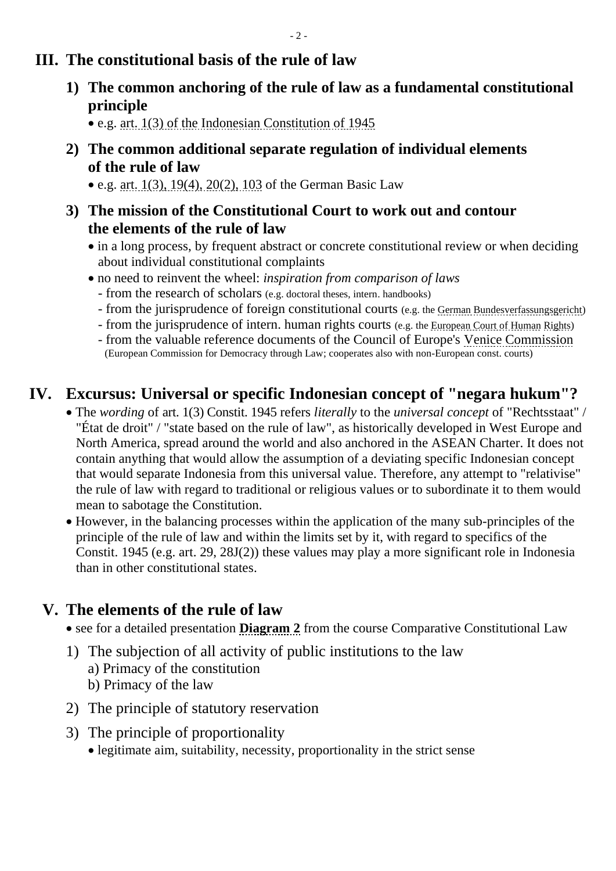## **III. The constitutional basis of the rule of law**

**1) The common anchoring of the rule of law as a fundamental constitutional principle**

• e.g. [art. 1\(3\) of the Indonesian Constitution of 1945](http://www.dpr.go.id/jdih/uu1945)

**2) The common additional separate regulation of individual elements of the rule of law**

• e.g. [art. 1\(3\), 19\(4\), 20\(2\), 103](https://www.gesetze-im-internet.de/englisch_gg/index.html) of the German Basic Law

- **3) The mission of the Constitutional Court to work out and contour the elements of the rule of law**
	- in a long process, by frequent abstract or concrete constitutional review or when deciding about individual constitutional complaints
	- no need to reinvent the wheel: *inspiration from comparison of laws*
		- from the research of scholars (e.g. doctoral theses, intern. handbooks)
		- from the jurisprudence of foreign constitutional courts (e.g. the [German Bundesverfassungsgericht\)](https://www.bundesverfassungsgericht.de/EN/Homepage/home_node.html;jsessionid=FA0E387D838513D6B5533D9477F33CC9.2_cid394)
		- from the jurisprudence of intern. human rights courts (e.g. th[e European Court of Human](https://www.echr.coe.int/Pages/home.aspx?p=home) Rights)
		- from the valuable reference documents of the Council of Europe's [Venice Commission](https://www.venice.coe.int/WebForms/pages/?p=01_Presentation&lang=EN) (European Commission for Democracy through Law; cooperates also with non-European const. courts)

# **IV. Excursus: Universal or specific Indonesian concept of "negara hukum"?**

- The *wording* of art. 1(3) Constit. 1945 refers *literally* to the *universal concept* of "Rechtsstaat" / "État de droit" / "state based on the rule of law", as historically developed in West Europe and North America, spread around the world and also anchored in the ASEAN Charter. It does not contain anything that would allow the assumption of a deviating specific Indonesian concept that would separate Indonesia from this universal value. Therefore, any attempt to "relativise" the rule of law with regard to traditional or religious values or to subordinate it to them would mean to sabotage the Constitution.
- However, in the balancing processes within the application of the many sub-principles of the principle of the rule of law and within the limits set by it, with regard to specifics of the Constit. 1945 (e.g. art. 29, 28J(2)) these values may play a more significant role in Indonesia than in other constitutional states.

# **V. The elements of the rule of law**

• see for a detailed presentation **[Diagram 2](http://www.thomas-schmitz-yogyakarta.id/Downloads/Schmitz_CompConstLaw_diagram2.pdf)** from the course Comparative Constitutional Law

- 1) The subjection of all activity of public institutions to the law
	- a) Primacy of the constitution
	- b) Primacy of the law
- 2) The principle of statutory reservation
- 3) The principle of proportionality
	- legitimate aim, suitability, necessity, proportionality in the strict sense